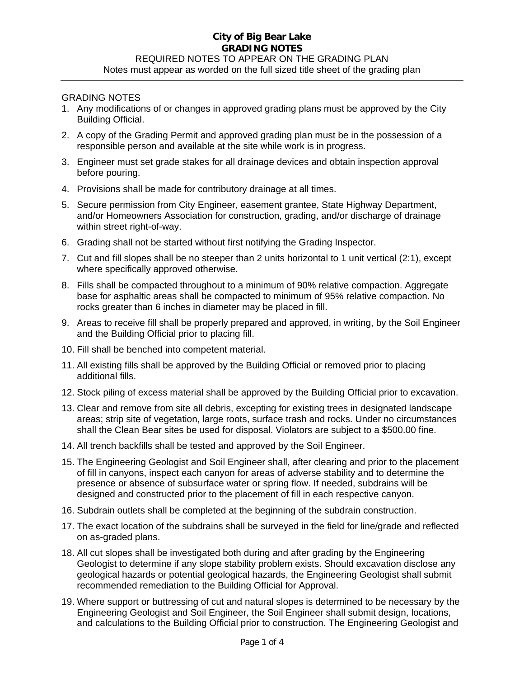# **City of Big Bear Lake GRADING NOTES**  REQUIRED NOTES TO APPEAR ON THE GRADING PLAN Notes must appear as worded on the full sized title sheet of the grading plan

#### GRADING NOTES

- 1. Any modifications of or changes in approved grading plans must be approved by the City Building Official.
- 2. A copy of the Grading Permit and approved grading plan must be in the possession of a responsible person and available at the site while work is in progress.
- 3. Engineer must set grade stakes for all drainage devices and obtain inspection approval before pouring.
- 4. Provisions shall be made for contributory drainage at all times.
- 5. Secure permission from City Engineer, easement grantee, State Highway Department, and/or Homeowners Association for construction, grading, and/or discharge of drainage within street right-of-way.
- 6. Grading shall not be started without first notifying the Grading Inspector.
- 7. Cut and fill slopes shall be no steeper than 2 units horizontal to 1 unit vertical (2:1), except where specifically approved otherwise.
- 8. Fills shall be compacted throughout to a minimum of 90% relative compaction. Aggregate base for asphaltic areas shall be compacted to minimum of 95% relative compaction. No rocks greater than 6 inches in diameter may be placed in fill.
- 9. Areas to receive fill shall be properly prepared and approved, in writing, by the Soil Engineer and the Building Official prior to placing fill.
- 10. Fill shall be benched into competent material.
- 11. All existing fills shall be approved by the Building Official or removed prior to placing additional fills.
- 12. Stock piling of excess material shall be approved by the Building Official prior to excavation.
- 13. Clear and remove from site all debris, excepting for existing trees in designated landscape areas; strip site of vegetation, large roots, surface trash and rocks. Under no circumstances shall the Clean Bear sites be used for disposal. Violators are subject to a \$500.00 fine.
- 14. All trench backfills shall be tested and approved by the Soil Engineer.
- 15. The Engineering Geologist and Soil Engineer shall, after clearing and prior to the placement of fill in canyons, inspect each canyon for areas of adverse stability and to determine the presence or absence of subsurface water or spring flow. If needed, subdrains will be designed and constructed prior to the placement of fill in each respective canyon.
- 16. Subdrain outlets shall be completed at the beginning of the subdrain construction.
- 17. The exact location of the subdrains shall be surveyed in the field for line/grade and reflected on as-graded plans.
- 18. All cut slopes shall be investigated both during and after grading by the Engineering Geologist to determine if any slope stability problem exists. Should excavation disclose any geological hazards or potential geological hazards, the Engineering Geologist shall submit recommended remediation to the Building Official for Approval.
- 19. Where support or buttressing of cut and natural slopes is determined to be necessary by the Engineering Geologist and Soil Engineer, the Soil Engineer shall submit design, locations, and calculations to the Building Official prior to construction. The Engineering Geologist and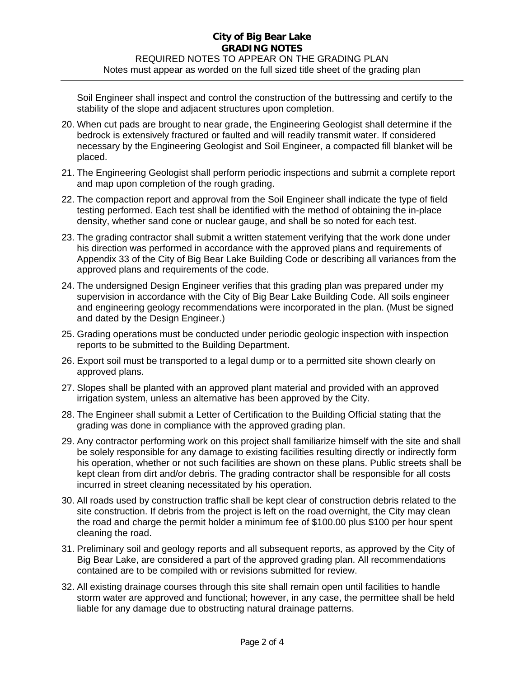## **City of Big Bear Lake GRADING NOTES**  REQUIRED NOTES TO APPEAR ON THE GRADING PLAN Notes must appear as worded on the full sized title sheet of the grading plan

Soil Engineer shall inspect and control the construction of the buttressing and certify to the stability of the slope and adjacent structures upon completion.

- 20. When cut pads are brought to near grade, the Engineering Geologist shall determine if the bedrock is extensively fractured or faulted and will readily transmit water. If considered necessary by the Engineering Geologist and Soil Engineer, a compacted fill blanket will be placed.
- 21. The Engineering Geologist shall perform periodic inspections and submit a complete report and map upon completion of the rough grading.
- 22. The compaction report and approval from the Soil Engineer shall indicate the type of field testing performed. Each test shall be identified with the method of obtaining the in-place density, whether sand cone or nuclear gauge, and shall be so noted for each test.
- 23. The grading contractor shall submit a written statement verifying that the work done under his direction was performed in accordance with the approved plans and requirements of Appendix 33 of the City of Big Bear Lake Building Code or describing all variances from the approved plans and requirements of the code.
- 24. The undersigned Design Engineer verifies that this grading plan was prepared under my supervision in accordance with the City of Big Bear Lake Building Code. All soils engineer and engineering geology recommendations were incorporated in the plan. (Must be signed and dated by the Design Engineer.)
- 25. Grading operations must be conducted under periodic geologic inspection with inspection reports to be submitted to the Building Department.
- 26. Export soil must be transported to a legal dump or to a permitted site shown clearly on approved plans.
- 27. Slopes shall be planted with an approved plant material and provided with an approved irrigation system, unless an alternative has been approved by the City.
- 28. The Engineer shall submit a Letter of Certification to the Building Official stating that the grading was done in compliance with the approved grading plan.
- 29. Any contractor performing work on this project shall familiarize himself with the site and shall be solely responsible for any damage to existing facilities resulting directly or indirectly form his operation, whether or not such facilities are shown on these plans. Public streets shall be kept clean from dirt and/or debris. The grading contractor shall be responsible for all costs incurred in street cleaning necessitated by his operation.
- 30. All roads used by construction traffic shall be kept clear of construction debris related to the site construction. If debris from the project is left on the road overnight, the City may clean the road and charge the permit holder a minimum fee of \$100.00 plus \$100 per hour spent cleaning the road.
- 31. Preliminary soil and geology reports and all subsequent reports, as approved by the City of Big Bear Lake, are considered a part of the approved grading plan. All recommendations contained are to be compiled with or revisions submitted for review.
- 32. All existing drainage courses through this site shall remain open until facilities to handle storm water are approved and functional; however, in any case, the permittee shall be held liable for any damage due to obstructing natural drainage patterns.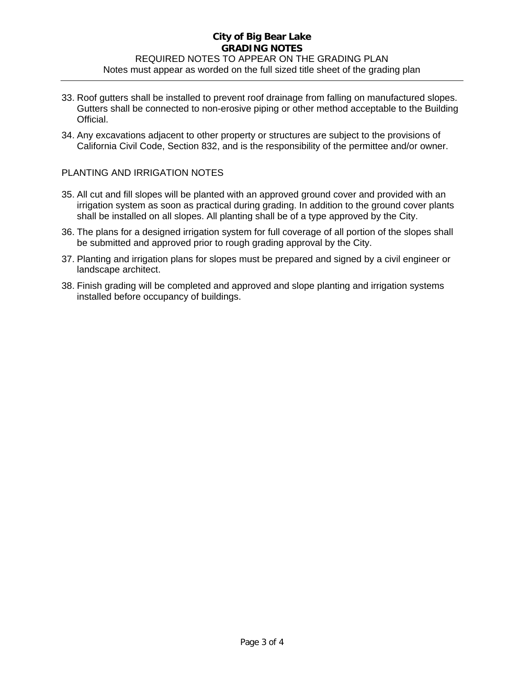## **City of Big Bear Lake GRADING NOTES**  REQUIRED NOTES TO APPEAR ON THE GRADING PLAN Notes must appear as worded on the full sized title sheet of the grading plan

- 33. Roof gutters shall be installed to prevent roof drainage from falling on manufactured slopes. Gutters shall be connected to non-erosive piping or other method acceptable to the Building Official.
- 34. Any excavations adjacent to other property or structures are subject to the provisions of California Civil Code, Section 832, and is the responsibility of the permittee and/or owner.

### PLANTING AND IRRIGATION NOTES

- 35. All cut and fill slopes will be planted with an approved ground cover and provided with an irrigation system as soon as practical during grading. In addition to the ground cover plants shall be installed on all slopes. All planting shall be of a type approved by the City.
- 36. The plans for a designed irrigation system for full coverage of all portion of the slopes shall be submitted and approved prior to rough grading approval by the City.
- 37. Planting and irrigation plans for slopes must be prepared and signed by a civil engineer or landscape architect.
- 38. Finish grading will be completed and approved and slope planting and irrigation systems installed before occupancy of buildings.